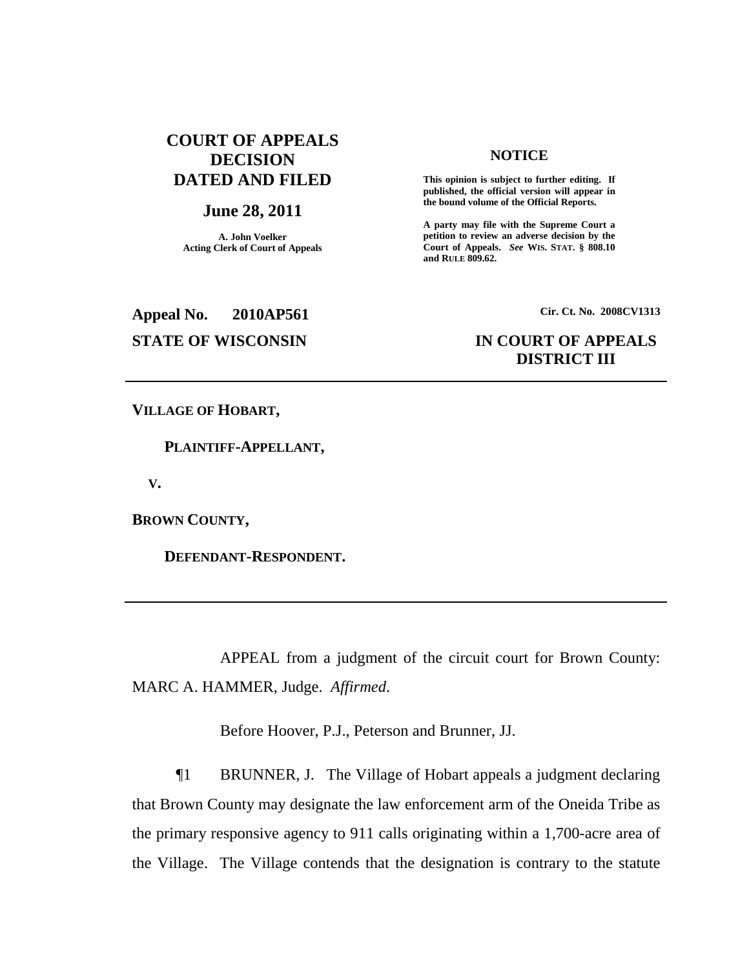# **COURT OF APPEALS DECISION DATED AND FILED**

## **June 28, 2011**

**A. John Voelker Acting Clerk of Court of Appeals**

### **NOTICE**

**This opinion is subject to further editing. If published, the official version will appear in the bound volume of the Official Reports.**

**A party may file with the Supreme Court a petition to review an adverse decision by the Court of Appeals.** *See* **WIS. STAT. § 808.10 and RULE 809.62.**

**Appeal No. 2010AP561**

**Cir. Ct. No. 2008CV1313**

# **STATE OF WISCONSIN IN COURT OF APPEALS DISTRICT III**

**VILLAGE OF HOBART,**

**PLAINTIFF-APPELLANT,**

**V.**

**BROWN COUNTY,**

**DEFENDANT-RESPONDENT.**

APPEAL from a judgment of the circuit court for Brown County: MARC A. HAMMER, Judge. *Affirmed*.

Before Hoover, P.J., Peterson and Brunner, JJ.

¶1 BRUNNER, J. The Village of Hobart appeals a judgment declaring that Brown County may designate the law enforcement arm of the Oneida Tribe as the primary responsive agency to 911 calls originating within a 1,700-acre area of the Village. The Village contends that the designation is contrary to the statute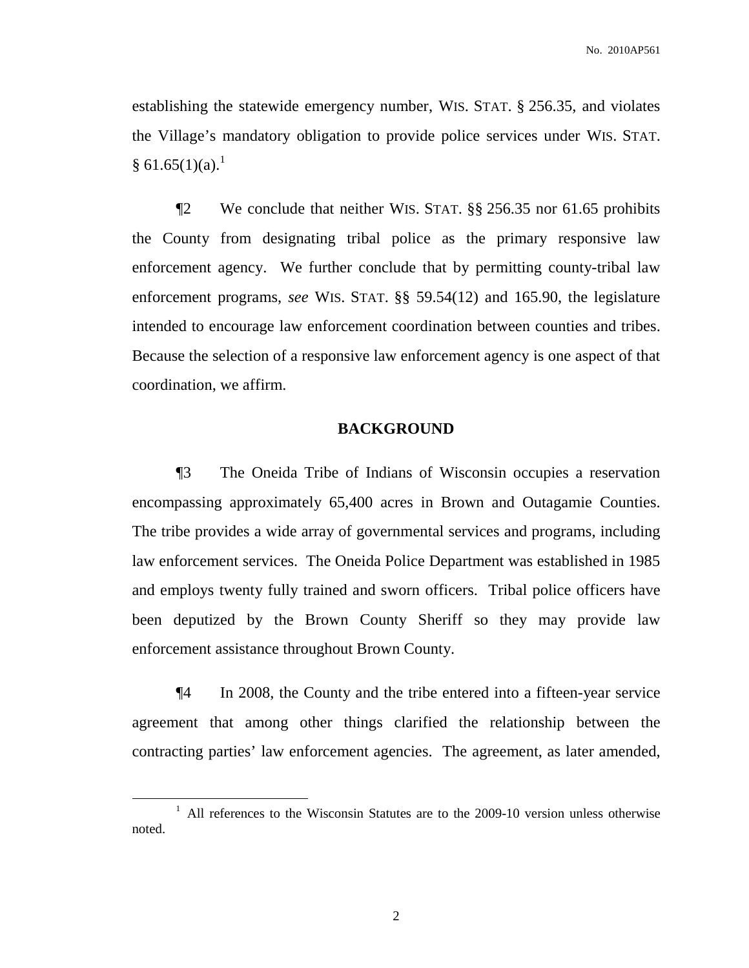establishing the statewide emergency number, WIS. STAT. § 256.35, and violates the Village's mandatory obligation to provide police services under WIS. STAT.  $§ 61.65(1)(a).<sup>1</sup>$ 

¶2 We conclude that neither WIS. STAT. §§ 256.35 nor 61.65 prohibits the County from designating tribal police as the primary responsive law enforcement agency. We further conclude that by permitting county-tribal law enforcement programs, *see* WIS. STAT. §§ 59.54(12) and 165.90, the legislature intended to encourage law enforcement coordination between counties and tribes. Because the selection of a responsive law enforcement agency is one aspect of that coordination, we affirm.

## **BACKGROUND**

¶3 The Oneida Tribe of Indians of Wisconsin occupies a reservation encompassing approximately 65,400 acres in Brown and Outagamie Counties. The tribe provides a wide array of governmental services and programs, including law enforcement services. The Oneida Police Department was established in 1985 and employs twenty fully trained and sworn officers. Tribal police officers have been deputized by the Brown County Sheriff so they may provide law enforcement assistance throughout Brown County.

¶4 In 2008, the County and the tribe entered into a fifteen-year service agreement that among other things clarified the relationship between the contracting parties' law enforcement agencies. The agreement, as later amended,

2

 $1$  All references to the Wisconsin Statutes are to the 2009-10 version unless otherwise noted.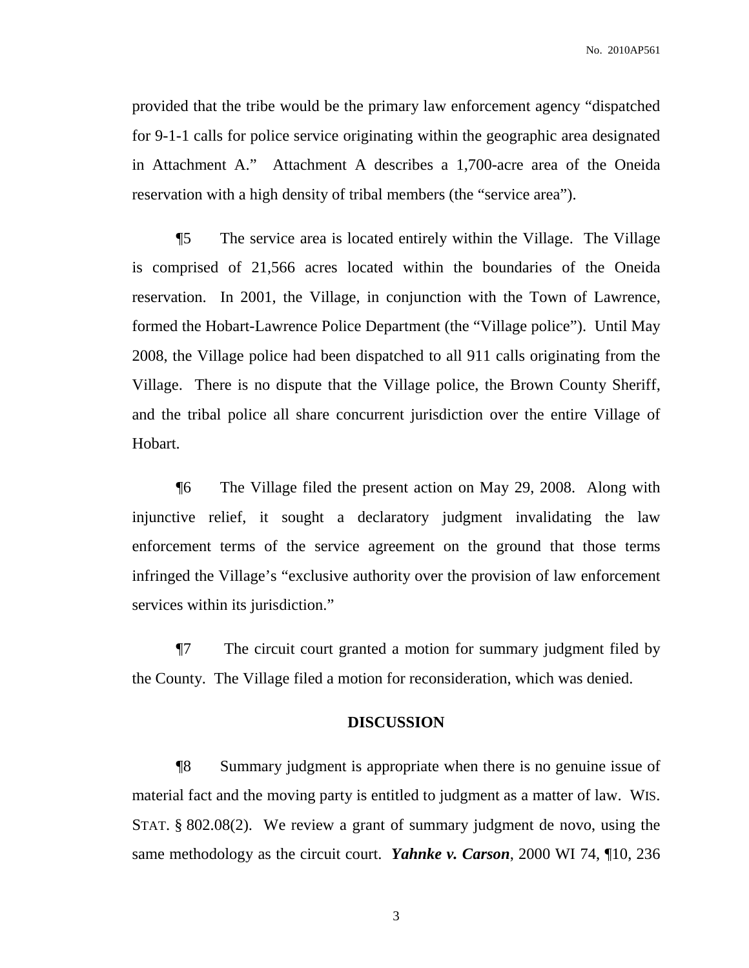No. 2010AP561

provided that the tribe would be the primary law enforcement agency "dispatched for 9-1-1 calls for police service originating within the geographic area designated in Attachment A." Attachment A describes a 1,700-acre area of the Oneida reservation with a high density of tribal members (the "service area").

¶5 The service area is located entirely within the Village. The Village is comprised of 21,566 acres located within the boundaries of the Oneida reservation. In 2001, the Village, in conjunction with the Town of Lawrence, formed the Hobart-Lawrence Police Department (the "Village police"). Until May 2008, the Village police had been dispatched to all 911 calls originating from the Village. There is no dispute that the Village police, the Brown County Sheriff, and the tribal police all share concurrent jurisdiction over the entire Village of Hobart.

¶6 The Village filed the present action on May 29, 2008. Along with injunctive relief, it sought a declaratory judgment invalidating the law enforcement terms of the service agreement on the ground that those terms infringed the Village's "exclusive authority over the provision of law enforcement services within its jurisdiction."

¶7 The circuit court granted a motion for summary judgment filed by the County. The Village filed a motion for reconsideration, which was denied.

## **DISCUSSION**

¶8 Summary judgment is appropriate when there is no genuine issue of material fact and the moving party is entitled to judgment as a matter of law. WIS. STAT. § 802.08(2). We review a grant of summary judgment de novo, using the same methodology as the circuit court. *Yahnke v. Carson*, 2000 WI 74, ¶10, 236

3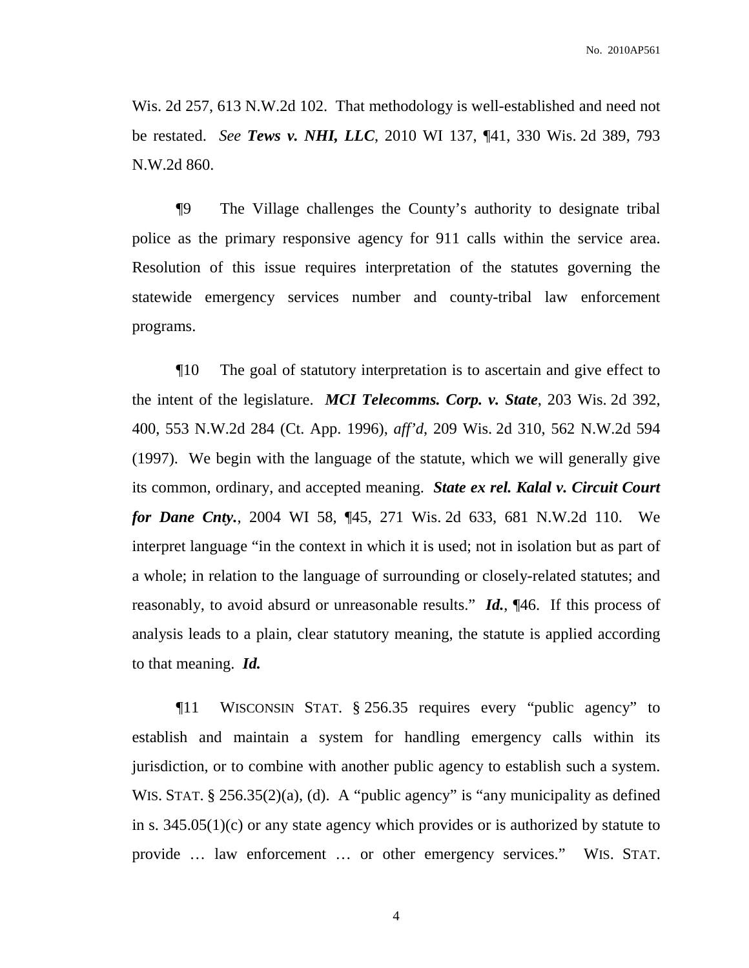Wis. 2d 257, 613 N.W.2d 102. That methodology is well-established and need not be restated. *See Tews v. NHI, LLC*, 2010 WI 137, ¶41, 330 Wis. 2d 389, 793 N.W.2d 860.

¶9 The Village challenges the County's authority to designate tribal police as the primary responsive agency for 911 calls within the service area. Resolution of this issue requires interpretation of the statutes governing the statewide emergency services number and county-tribal law enforcement programs.

¶10 The goal of statutory interpretation is to ascertain and give effect to the intent of the legislature. *MCI Telecomms. Corp. v. State*, 203 Wis. 2d 392, 400, 553 N.W.2d 284 (Ct. App. 1996), *aff'd*, 209 Wis. 2d 310, 562 N.W.2d 594 (1997). We begin with the language of the statute, which we will generally give its common, ordinary, and accepted meaning. *State ex rel. Kalal v. Circuit Court for Dane Cnty.*, 2004 WI 58, ¶45, 271 Wis. 2d 633, 681 N.W.2d 110. We interpret language "in the context in which it is used; not in isolation but as part of a whole; in relation to the language of surrounding or closely-related statutes; and reasonably, to avoid absurd or unreasonable results." *Id.*, ¶46. If this process of analysis leads to a plain, clear statutory meaning, the statute is applied according to that meaning. *Id.*

¶11 WISCONSIN STAT. § 256.35 requires every "public agency" to establish and maintain a system for handling emergency calls within its jurisdiction, or to combine with another public agency to establish such a system. WIS. STAT. § 256.35(2)(a), (d). A "public agency" is "any municipality as defined in s. 345.05(1)(c) or any state agency which provides or is authorized by statute to provide … law enforcement … or other emergency services." WIS. STAT.

4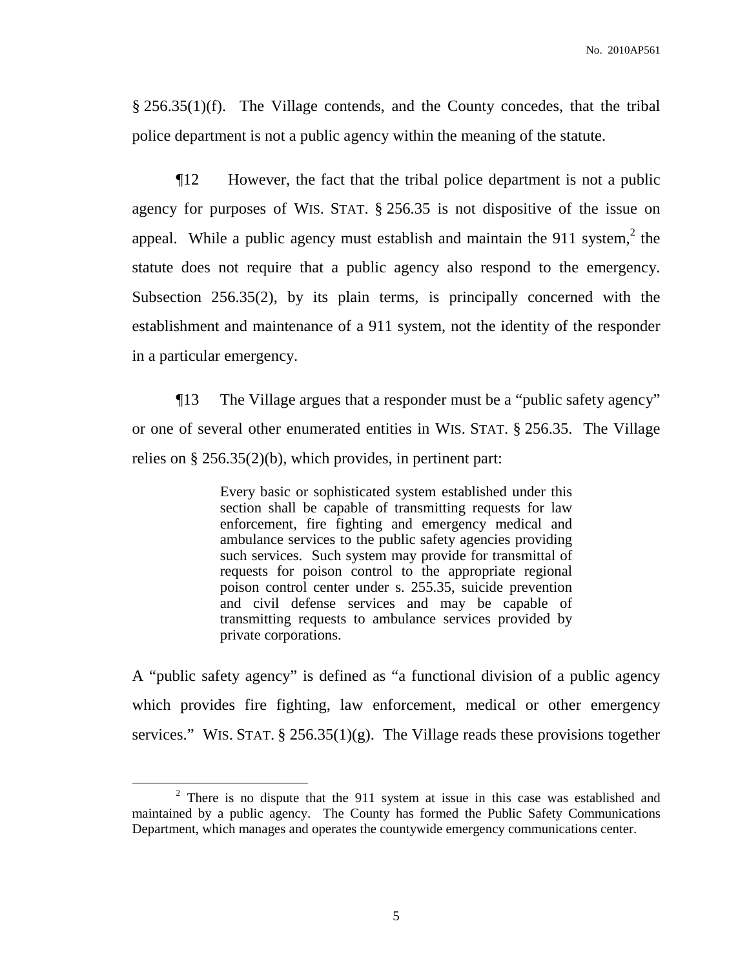§ 256.35(1)(f). The Village contends, and the County concedes, that the tribal police department is not a public agency within the meaning of the statute.

¶12 However, the fact that the tribal police department is not a public agency for purposes of WIS. STAT. § 256.35 is not dispositive of the issue on appeal. While a public agency must establish and maintain the 911 system,  $2$  the statute does not require that a public agency also respond to the emergency. Subsection 256.35(2), by its plain terms, is principally concerned with the establishment and maintenance of a 911 system, not the identity of the responder in a particular emergency.

¶13 The Village argues that a responder must be a "public safety agency" or one of several other enumerated entities in WIS. STAT. § 256.35. The Village relies on § 256.35(2)(b), which provides, in pertinent part:

> Every basic or sophisticated system established under this section shall be capable of transmitting requests for law enforcement, fire fighting and emergency medical and ambulance services to the public safety agencies providing such services. Such system may provide for transmittal of requests for poison control to the appropriate regional poison control center under s. 255.35, suicide prevention and civil defense services and may be capable of transmitting requests to ambulance services provided by private corporations.

A "public safety agency" is defined as "a functional division of a public agency which provides fire fighting, law enforcement, medical or other emergency services." WIS. STAT.  $\S$  256.35(1)(g). The Village reads these provisions together

<sup>&</sup>lt;sup>2</sup> There is no dispute that the 911 system at issue in this case was established and maintained by a public agency. The County has formed the Public Safety Communications Department, which manages and operates the countywide emergency communications center.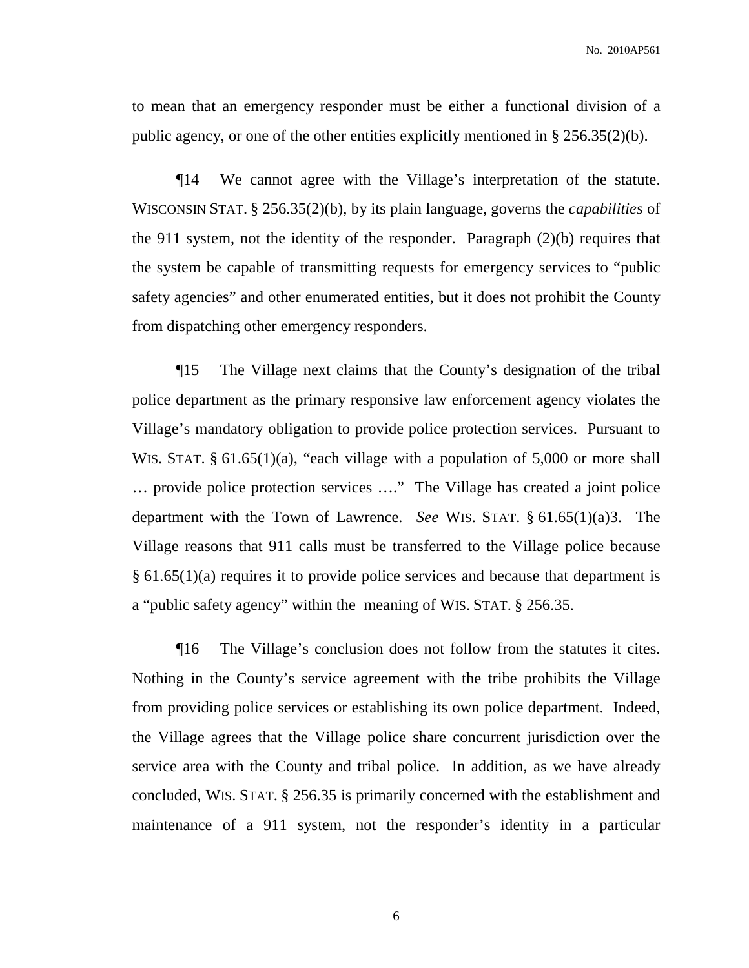to mean that an emergency responder must be either a functional division of a public agency, or one of the other entities explicitly mentioned in § 256.35(2)(b).

¶14 We cannot agree with the Village's interpretation of the statute. WISCONSIN STAT. § 256.35(2)(b), by its plain language, governs the *capabilities* of the 911 system, not the identity of the responder. Paragraph (2)(b) requires that the system be capable of transmitting requests for emergency services to "public safety agencies" and other enumerated entities, but it does not prohibit the County from dispatching other emergency responders.

¶15 The Village next claims that the County's designation of the tribal police department as the primary responsive law enforcement agency violates the Village's mandatory obligation to provide police protection services. Pursuant to WIS. STAT. § 61.65(1)(a), "each village with a population of 5,000 or more shall … provide police protection services …." The Village has created a joint police department with the Town of Lawrence. *See* WIS. STAT. § 61.65(1)(a)3. The Village reasons that 911 calls must be transferred to the Village police because § 61.65(1)(a) requires it to provide police services and because that department is a "public safety agency" within the meaning of WIS. STAT. § 256.35.

¶16 The Village's conclusion does not follow from the statutes it cites. Nothing in the County's service agreement with the tribe prohibits the Village from providing police services or establishing its own police department. Indeed, the Village agrees that the Village police share concurrent jurisdiction over the service area with the County and tribal police. In addition, as we have already concluded, WIS. STAT. § 256.35 is primarily concerned with the establishment and maintenance of a 911 system, not the responder's identity in a particular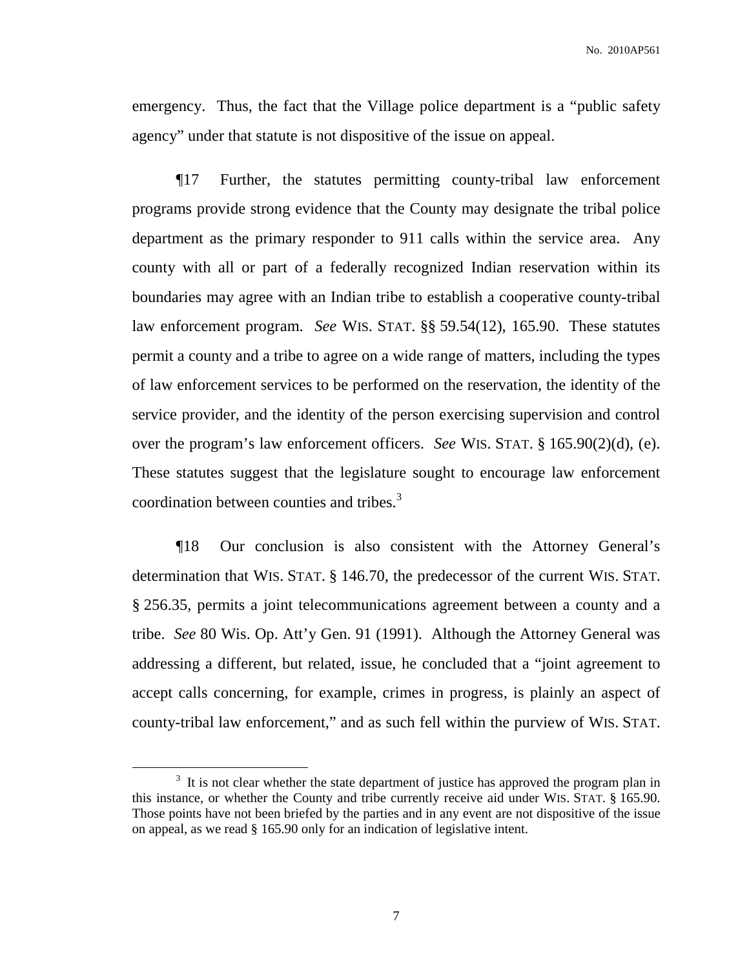emergency. Thus, the fact that the Village police department is a "public safety agency" under that statute is not dispositive of the issue on appeal.

¶17 Further, the statutes permitting county-tribal law enforcement programs provide strong evidence that the County may designate the tribal police department as the primary responder to 911 calls within the service area. Any county with all or part of a federally recognized Indian reservation within its boundaries may agree with an Indian tribe to establish a cooperative county-tribal law enforcement program. *See* WIS. STAT. §§ 59.54(12), 165.90. These statutes permit a county and a tribe to agree on a wide range of matters, including the types of law enforcement services to be performed on the reservation, the identity of the service provider, and the identity of the person exercising supervision and control over the program's law enforcement officers. *See* WIS. STAT. § 165.90(2)(d), (e). These statutes suggest that the legislature sought to encourage law enforcement coordination between counties and tribes. 3

¶18 Our conclusion is also consistent with the Attorney General's determination that WIS. STAT. § 146.70, the predecessor of the current WIS. STAT. § 256.35, permits a joint telecommunications agreement between a county and a tribe. *See* 80 Wis. Op. Att'y Gen. 91 (1991). Although the Attorney General was addressing a different, but related, issue, he concluded that a "joint agreement to accept calls concerning, for example, crimes in progress, is plainly an aspect of county-tribal law enforcement," and as such fell within the purview of WIS. STAT.

 $3\,$  It is not clear whether the state department of justice has approved the program plan in this instance, or whether the County and tribe currently receive aid under WIS. STAT. § 165.90. Those points have not been briefed by the parties and in any event are not dispositive of the issue on appeal, as we read § 165.90 only for an indication of legislative intent.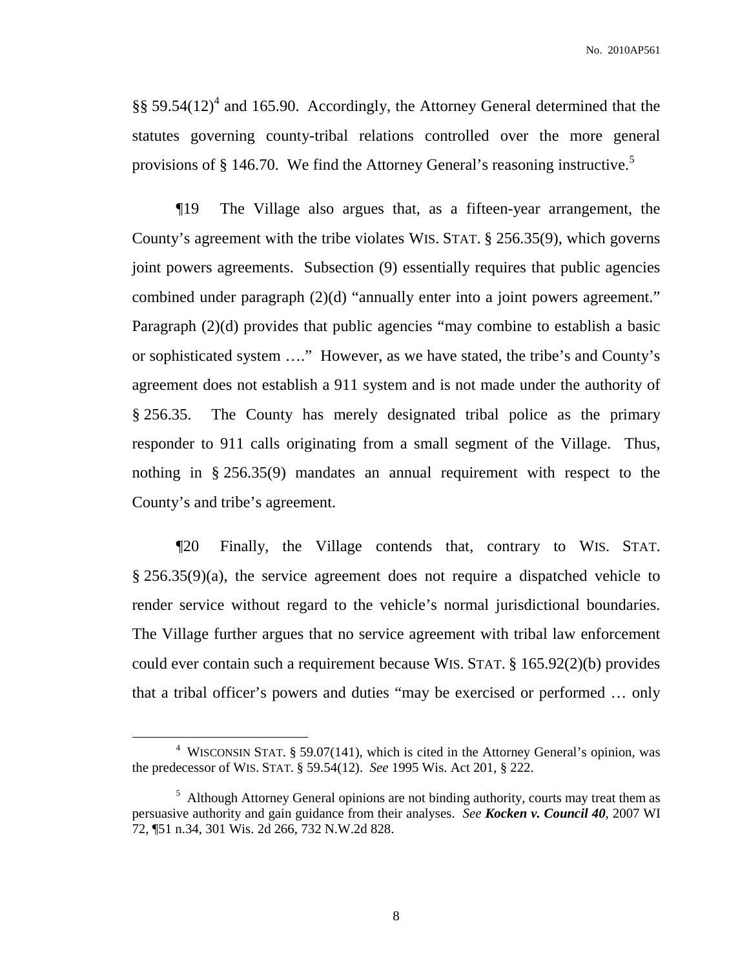§§ 59.54 $(12)^4$  and 165.90. Accordingly, the Attorney General determined that the statutes governing county-tribal relations controlled over the more general provisions of § 146.70. We find the Attorney General's reasoning instructive.<sup>5</sup>

¶19 The Village also argues that, as a fifteen-year arrangement, the County's agreement with the tribe violates WIS. STAT. § 256.35(9), which governs joint powers agreements. Subsection (9) essentially requires that public agencies combined under paragraph (2)(d) "annually enter into a joint powers agreement." Paragraph (2)(d) provides that public agencies "may combine to establish a basic or sophisticated system …." However, as we have stated, the tribe's and County's agreement does not establish a 911 system and is not made under the authority of § 256.35. The County has merely designated tribal police as the primary responder to 911 calls originating from a small segment of the Village. Thus, nothing in § 256.35(9) mandates an annual requirement with respect to the County's and tribe's agreement.

¶20 Finally, the Village contends that, contrary to WIS. STAT. § 256.35(9)(a), the service agreement does not require a dispatched vehicle to render service without regard to the vehicle's normal jurisdictional boundaries. The Village further argues that no service agreement with tribal law enforcement could ever contain such a requirement because WIS. STAT. § 165.92(2)(b) provides that a tribal officer's powers and duties "may be exercised or performed … only

<sup>4</sup> WISCONSIN STAT. § 59.07(141), which is cited in the Attorney General's opinion, was the predecessor of WIS. STAT. § 59.54(12). *See* 1995 Wis. Act 201, § 222.

 $<sup>5</sup>$  Although Attorney General opinions are not binding authority, courts may treat them as</sup> persuasive authority and gain guidance from their analyses. *See Kocken v. Council 40*, 2007 WI 72, ¶51 n.34, 301 Wis. 2d 266, 732 N.W.2d 828.